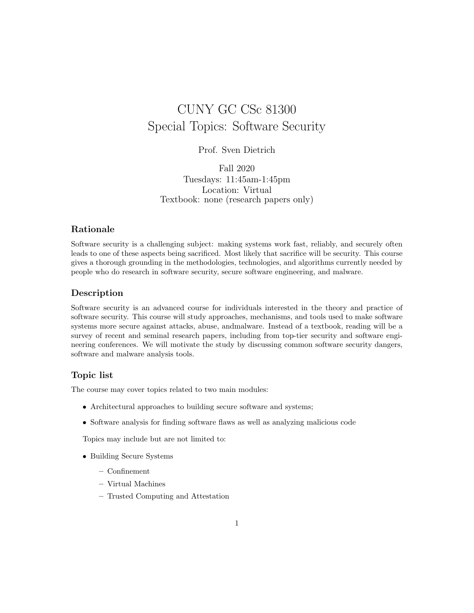# CUNY GC CSc 81300 Special Topics: Software Security

## Prof. Sven Dietrich

Fall 2020 Tuesdays: 11:45am-1:45pm Location: Virtual Textbook: none (research papers only)

### Rationale

Software security is a challenging subject: making systems work fast, reliably, and securely often leads to one of these aspects being sacrificed. Most likely that sacrifice will be security. This course gives a thorough grounding in the methodologies, technologies, and algorithms currently needed by people who do research in software security, secure software engineering, and malware.

### Description

Software security is an advanced course for individuals interested in the theory and practice of software security. This course will study approaches, mechanisms, and tools used to make software systems more secure against attacks, abuse, andmalware. Instead of a textbook, reading will be a survey of recent and seminal research papers, including from top-tier security and software engineering conferences. We will motivate the study by discussing common software security dangers, software and malware analysis tools.

#### Topic list

The course may cover topics related to two main modules:

- Architectural approaches to building secure software and systems;
- Software analysis for finding software flaws as well as analyzing malicious code

Topics may include but are not limited to:

- Building Secure Systems
	- Confinement
	- Virtual Machines
	- Trusted Computing and Attestation